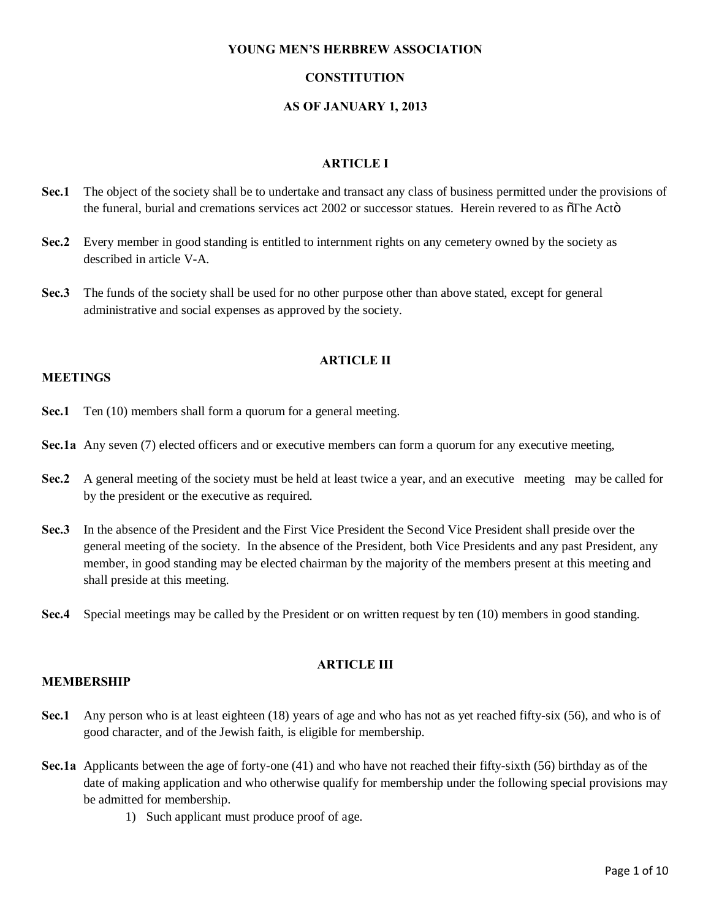## **CONSTITUTION**

## **AS OF JANUARY 1, 2013**

# **ARTICLE I**

- **Sec.1** The object of the society shall be to undertake and transact any class of business permitted under the provisions of the funeral, burial and cremations services act  $2002$  or successor statues. Herein revered to as  $\delta$ The Actö
- **Sec.2** Every member in good standing is entitled to internment rights on any cemetery owned by the society as described in article V-A.
- **Sec.3** The funds of the society shall be used for no other purpose other than above stated, except for general administrative and social expenses as approved by the society.

## **ARTICLE II**

# **MEETINGS**

- **Sec.1** Ten (10) members shall form a quorum for a general meeting.
- **Sec.1a** Any seven (7) elected officers and or executive members can form a quorum for any executive meeting,
- **Sec.2** A general meeting of the society must be held at least twice a year, and an executive meeting may be called for by the president or the executive as required.
- **Sec.3** In the absence of the President and the First Vice President the Second Vice President shall preside over the general meeting of the society. In the absence of the President, both Vice Presidents and any past President, any member, in good standing may be elected chairman by the majority of the members present at this meeting and shall preside at this meeting.
- **Sec.4** Special meetings may be called by the President or on written request by ten (10) members in good standing.

# **ARTICLE III**

#### **MEMBERSHIP**

- **Sec.1** Any person who is at least eighteen (18) years of age and who has not as yet reached fifty-six (56), and who is of good character, and of the Jewish faith, is eligible for membership.
- **Sec.1a** Applicants between the age of forty-one (41) and who have not reached their fifty-sixth (56) birthday as of the date of making application and who otherwise qualify for membership under the following special provisions may be admitted for membership.
	- 1) Such applicant must produce proof of age.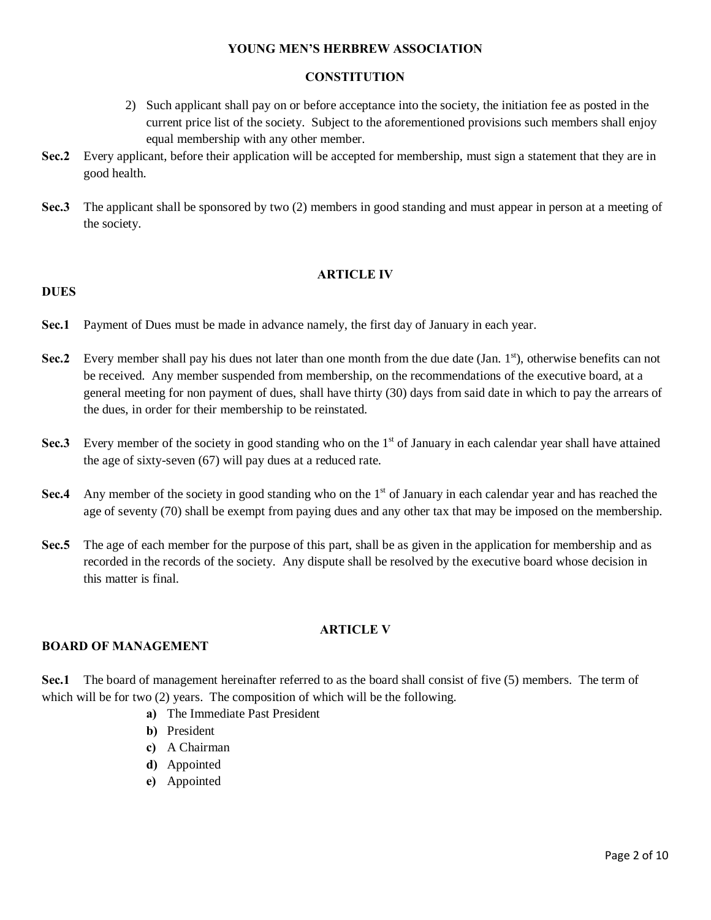# **CONSTITUTION**

- 2) Such applicant shall pay on or before acceptance into the society, the initiation fee as posted in the current price list of the society. Subject to the aforementioned provisions such members shall enjoy equal membership with any other member.
- **Sec.2** Every applicant, before their application will be accepted for membership, must sign a statement that they are in good health.
- **Sec.3** The applicant shall be sponsored by two (2) members in good standing and must appear in person at a meeting of the society.

## **ARTICLE IV**

## **Sec.1** Payment of Dues must be made in advance namely, the first day of January in each year.

- **Sec.2** Every member shall pay his dues not later than one month from the due date (Jan. 1<sup>st</sup>), otherwise benefits can not be received. Any member suspended from membership, on the recommendations of the executive board, at a general meeting for non payment of dues, shall have thirty (30) days from said date in which to pay the arrears of the dues, in order for their membership to be reinstated.
- **Sec.3** Every member of the society in good standing who on the 1<sup>st</sup> of January in each calendar year shall have attained the age of sixty-seven (67) will pay dues at a reduced rate.
- **Sec.4** Any member of the society in good standing who on the 1<sup>st</sup> of January in each calendar year and has reached the age of seventy (70) shall be exempt from paying dues and any other tax that may be imposed on the membership.
- **Sec.5** The age of each member for the purpose of this part, shall be as given in the application for membership and as recorded in the records of the society. Any dispute shall be resolved by the executive board whose decision in this matter is final.

## **ARTICLE V**

### **BOARD OF MANAGEMENT**

**DUES**

**Sec.1** The board of management hereinafter referred to as the board shall consist of five (5) members. The term of which will be for two (2) years. The composition of which will be the following.

- **a)** The Immediate Past President
- **b)** President
- **c)** A Chairman
- **d)** Appointed
- **e)** Appointed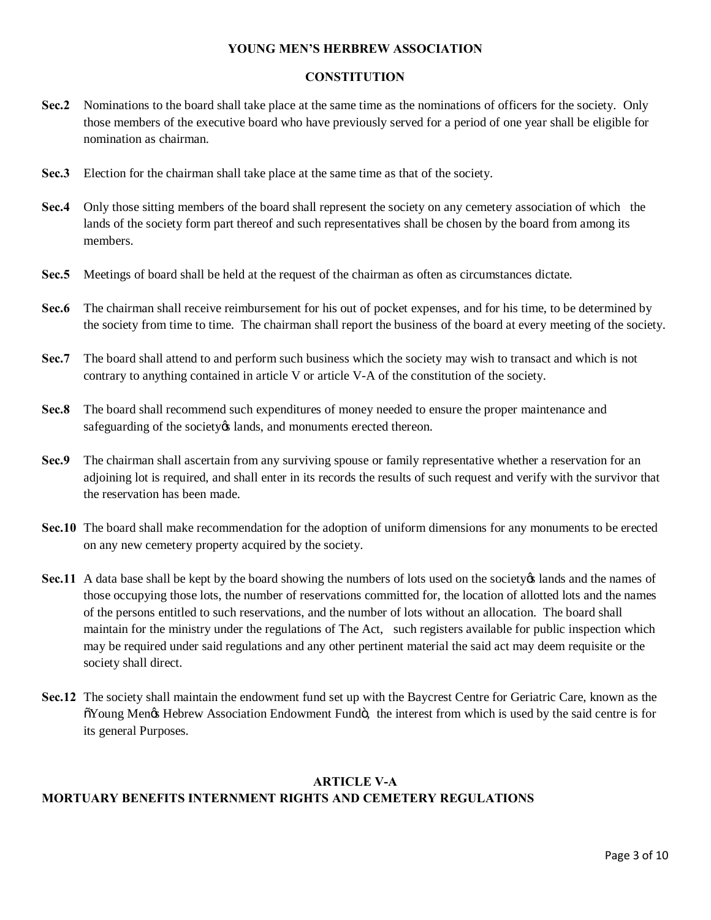# **CONSTITUTION**

- **Sec.2** Nominations to the board shall take place at the same time as the nominations of officers for the society. Only those members of the executive board who have previously served for a period of one year shall be eligible for nomination as chairman.
- **Sec.3** Election for the chairman shall take place at the same time as that of the society.
- **Sec.4** Only those sitting members of the board shall represent the society on any cemetery association of which the lands of the society form part thereof and such representatives shall be chosen by the board from among its members.
- **Sec.5** Meetings of board shall be held at the request of the chairman as often as circumstances dictate.
- **Sec.6** The chairman shall receive reimbursement for his out of pocket expenses, and for his time, to be determined by the society from time to time. The chairman shall report the business of the board at every meeting of the society.
- **Sec.7** The board shall attend to and perform such business which the society may wish to transact and which is not contrary to anything contained in article V or article V-A of the constitution of the society.
- **Sec.8** The board shall recommend such expenditures of money needed to ensure the proper maintenance and safeguarding of the society is lands, and monuments erected thereon.
- **Sec.9** The chairman shall ascertain from any surviving spouse or family representative whether a reservation for an adjoining lot is required, and shall enter in its records the results of such request and verify with the survivor that the reservation has been made.
- **Sec.10** The board shall make recommendation for the adoption of uniform dimensions for any monuments to be erected on any new cemetery property acquired by the society.
- **Sec.11** A data base shall be kept by the board showing the numbers of lots used on the society is lands and the names of those occupying those lots, the number of reservations committed for, the location of allotted lots and the names of the persons entitled to such reservations, and the number of lots without an allocation. The board shall maintain for the ministry under the regulations of The Act, such registers available for public inspection which may be required under said regulations and any other pertinent material the said act may deem requisite or the society shall direct.
- **Sec.12** The society shall maintain the endowment fund set up with the Baycrest Centre for Geriatric Care, known as the  $\delta$ Young Men $\alpha$  Hebrew Association Endowment Fund $\ddot{\circ}$ , the interest from which is used by the said centre is for its general Purposes.

## **ARTICLE V-A**

## **MORTUARY BENEFITS INTERNMENT RIGHTS AND CEMETERY REGULATIONS**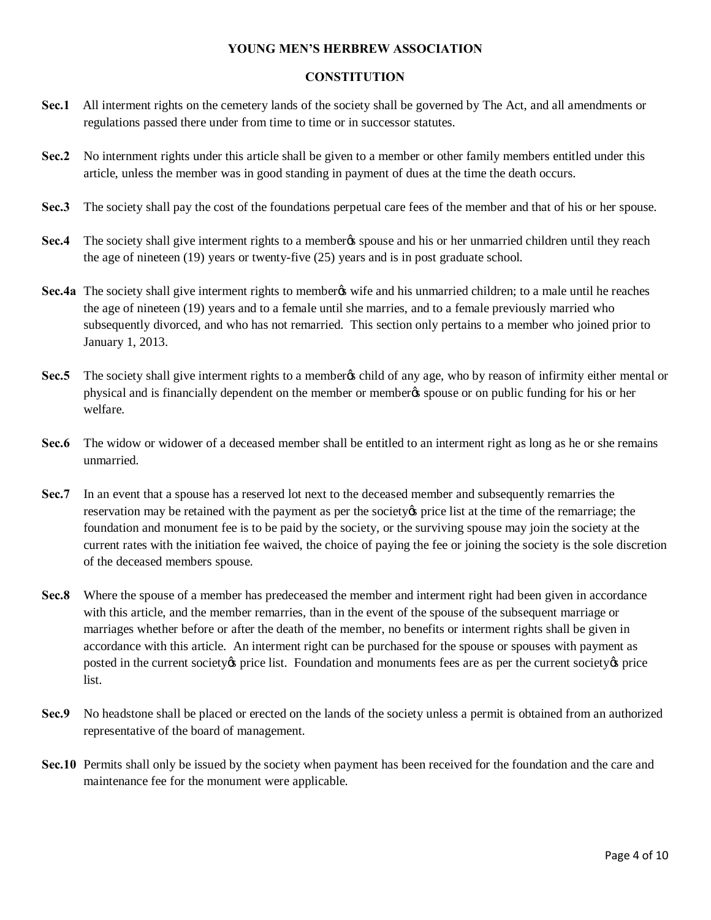# **CONSTITUTION**

- **Sec.1** All interment rights on the cemetery lands of the society shall be governed by The Act, and all amendments or regulations passed there under from time to time or in successor statutes.
- **Sec.2** No internment rights under this article shall be given to a member or other family members entitled under this article, unless the member was in good standing in payment of dues at the time the death occurs.
- **Sec.3** The society shall pay the cost of the foundations perpetual care fees of the member and that of his or her spouse.
- **Sec.4** The society shall give interment rights to a member spouse and his or her unmarried children until they reach the age of nineteen (19) years or twenty-five (25) years and is in post graduate school.
- **Sec.4a** The society shall give interment rights to member wife and his unmarried children; to a male until he reaches the age of nineteen (19) years and to a female until she marries, and to a female previously married who subsequently divorced, and who has not remarried. This section only pertains to a member who joined prior to January 1, 2013.
- **Sec.5** The society shall give interment rights to a member to child of any age, who by reason of infirmity either mental or physical and is financially dependent on the member or member's spouse or on public funding for his or her welfare.
- **Sec.6** The widow or widower of a deceased member shall be entitled to an interment right as long as he or she remains unmarried.
- **Sec.7** In an event that a spouse has a reserved lot next to the deceased member and subsequently remarries the reservation may be retained with the payment as per the society of price list at the time of the remarriage; the foundation and monument fee is to be paid by the society, or the surviving spouse may join the society at the current rates with the initiation fee waived, the choice of paying the fee or joining the society is the sole discretion of the deceased members spouse.
- **Sec.8** Where the spouse of a member has predeceased the member and interment right had been given in accordance with this article, and the member remarries, than in the event of the spouse of the subsequent marriage or marriages whether before or after the death of the member, no benefits or interment rights shall be given in accordance with this article. An interment right can be purchased for the spouse or spouses with payment as posted in the current society os price list. Foundation and monuments fees are as per the current society os price list.
- **Sec.9** No headstone shall be placed or erected on the lands of the society unless a permit is obtained from an authorized representative of the board of management.
- **Sec.10** Permits shall only be issued by the society when payment has been received for the foundation and the care and maintenance fee for the monument were applicable.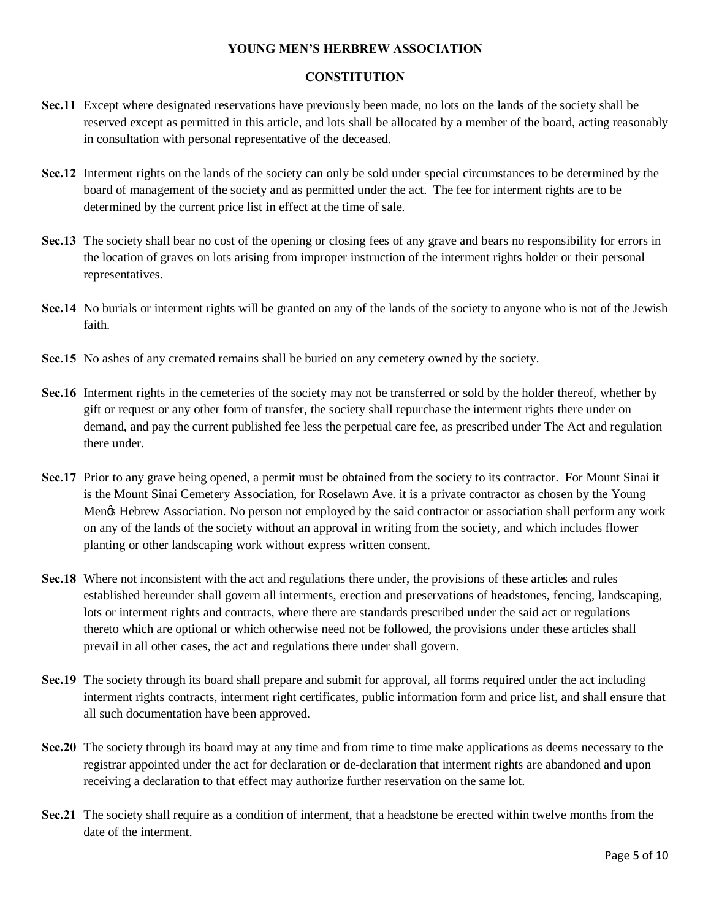# **CONSTITUTION**

- **Sec.11** Except where designated reservations have previously been made, no lots on the lands of the society shall be reserved except as permitted in this article, and lots shall be allocated by a member of the board, acting reasonably in consultation with personal representative of the deceased.
- **Sec.12** Interment rights on the lands of the society can only be sold under special circumstances to be determined by the board of management of the society and as permitted under the act. The fee for interment rights are to be determined by the current price list in effect at the time of sale.
- **Sec.13** The society shall bear no cost of the opening or closing fees of any grave and bears no responsibility for errors in the location of graves on lots arising from improper instruction of the interment rights holder or their personal representatives.
- **Sec.14** No burials or interment rights will be granted on any of the lands of the society to anyone who is not of the Jewish faith.
- **Sec.15** No ashes of any cremated remains shall be buried on any cemetery owned by the society.
- **Sec.16** Interment rights in the cemeteries of the society may not be transferred or sold by the holder thereof, whether by gift or request or any other form of transfer, the society shall repurchase the interment rights there under on demand, and pay the current published fee less the perpetual care fee, as prescribed under The Act and regulation there under.
- **Sec.17** Prior to any grave being opened, a permit must be obtained from the society to its contractor. For Mount Sinai it is the Mount Sinai Cemetery Association, for Roselawn Ave. it is a private contractor as chosen by the Young Mengs Hebrew Association. No person not employed by the said contractor or association shall perform any work on any of the lands of the society without an approval in writing from the society, and which includes flower planting or other landscaping work without express written consent.
- **Sec.18** Where not inconsistent with the act and regulations there under, the provisions of these articles and rules established hereunder shall govern all interments, erection and preservations of headstones, fencing, landscaping, lots or interment rights and contracts, where there are standards prescribed under the said act or regulations thereto which are optional or which otherwise need not be followed, the provisions under these articles shall prevail in all other cases, the act and regulations there under shall govern.
- **Sec.19** The society through its board shall prepare and submit for approval, all forms required under the act including interment rights contracts, interment right certificates, public information form and price list, and shall ensure that all such documentation have been approved.
- **Sec.20** The society through its board may at any time and from time to time make applications as deems necessary to the registrar appointed under the act for declaration or de-declaration that interment rights are abandoned and upon receiving a declaration to that effect may authorize further reservation on the same lot.
- **Sec.21** The society shall require as a condition of interment, that a headstone be erected within twelve months from the date of the interment.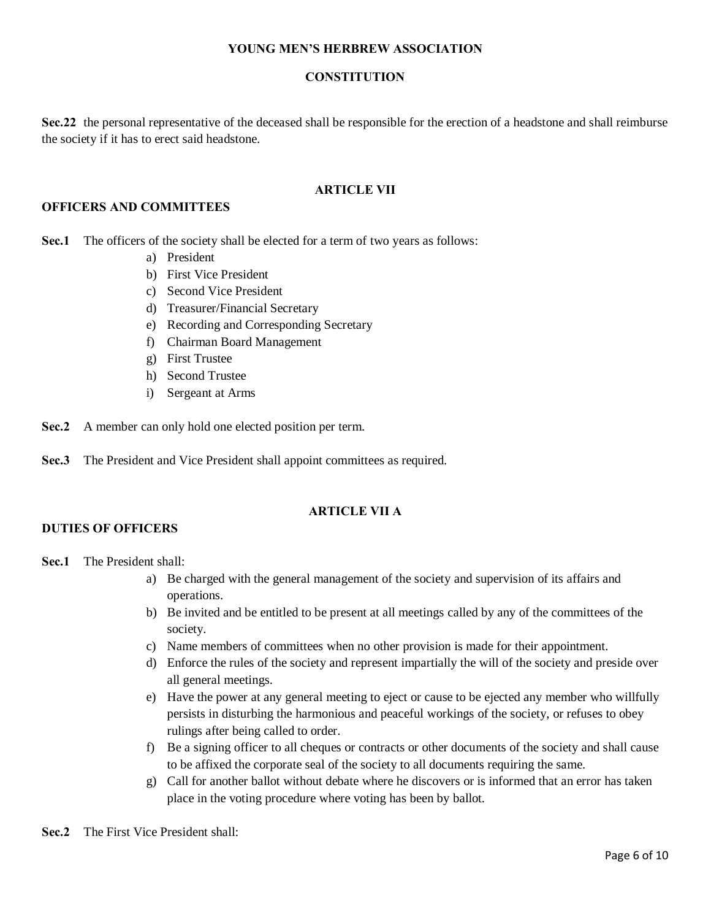## **CONSTITUTION**

**Sec.22** the personal representative of the deceased shall be responsible for the erection of a headstone and shall reimburse the society if it has to erect said headstone.

## **ARTICLE VII**

#### **OFFICERS AND COMMITTEES**

**Sec.1** The officers of the society shall be elected for a term of two years as follows:

- a) President
- b) First Vice President
- c) Second Vice President
- d) Treasurer/Financial Secretary
- e) Recording and Corresponding Secretary
- f) Chairman Board Management
- g) First Trustee
- h) Second Trustee
- i) Sergeant at Arms

**Sec.2** A member can only hold one elected position per term.

**Sec.3** The President and Vice President shall appoint committees as required.

## **ARTICLE VII A**

## **DUTIES OF OFFICERS**

## **Sec.1** The President shall:

- a) Be charged with the general management of the society and supervision of its affairs and operations.
- b) Be invited and be entitled to be present at all meetings called by any of the committees of the society.
- c) Name members of committees when no other provision is made for their appointment.
- d) Enforce the rules of the society and represent impartially the will of the society and preside over all general meetings.
- e) Have the power at any general meeting to eject or cause to be ejected any member who willfully persists in disturbing the harmonious and peaceful workings of the society, or refuses to obey rulings after being called to order.
- f) Be a signing officer to all cheques or contracts or other documents of the society and shall cause to be affixed the corporate seal of the society to all documents requiring the same.
- g) Call for another ballot without debate where he discovers or is informed that an error has taken place in the voting procedure where voting has been by ballot.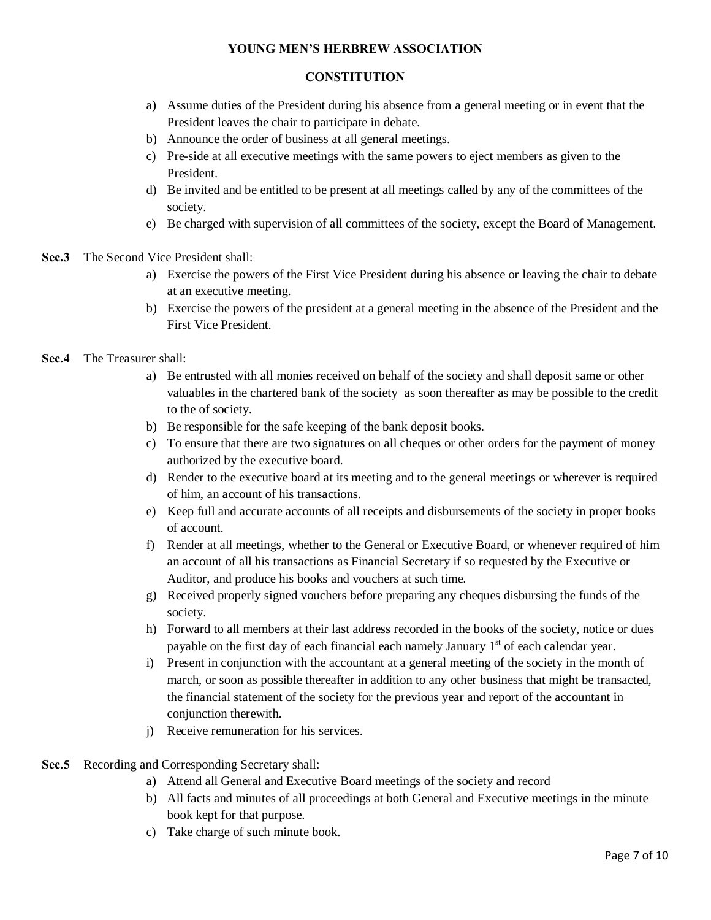## **CONSTITUTION**

- a) Assume duties of the President during his absence from a general meeting or in event that the President leaves the chair to participate in debate.
- b) Announce the order of business at all general meetings.
- c) Pre-side at all executive meetings with the same powers to eject members as given to the President.
- d) Be invited and be entitled to be present at all meetings called by any of the committees of the society.
- e) Be charged with supervision of all committees of the society, except the Board of Management.
- **Sec.3** The Second Vice President shall:
	- a) Exercise the powers of the First Vice President during his absence or leaving the chair to debate at an executive meeting.
	- b) Exercise the powers of the president at a general meeting in the absence of the President and the First Vice President.
- **Sec.4** The Treasurer shall:
	- a) Be entrusted with all monies received on behalf of the society and shall deposit same or other valuables in the chartered bank of the society as soon thereafter as may be possible to the credit to the of society.
	- b) Be responsible for the safe keeping of the bank deposit books.
	- c) To ensure that there are two signatures on all cheques or other orders for the payment of money authorized by the executive board.
	- d) Render to the executive board at its meeting and to the general meetings or wherever is required of him, an account of his transactions.
	- e) Keep full and accurate accounts of all receipts and disbursements of the society in proper books of account.
	- f) Render at all meetings, whether to the General or Executive Board, or whenever required of him an account of all his transactions as Financial Secretary if so requested by the Executive or Auditor, and produce his books and vouchers at such time.
	- g) Received properly signed vouchers before preparing any cheques disbursing the funds of the society.
	- h) Forward to all members at their last address recorded in the books of the society, notice or dues payable on the first day of each financial each namely January  $1<sup>st</sup>$  of each calendar year.
	- i) Present in conjunction with the accountant at a general meeting of the society in the month of march, or soon as possible thereafter in addition to any other business that might be transacted, the financial statement of the society for the previous year and report of the accountant in conjunction therewith.
	- j) Receive remuneration for his services.
- **Sec.5** Recording and Corresponding Secretary shall:
	- a) Attend all General and Executive Board meetings of the society and record
	- b) All facts and minutes of all proceedings at both General and Executive meetings in the minute book kept for that purpose.
	- c) Take charge of such minute book.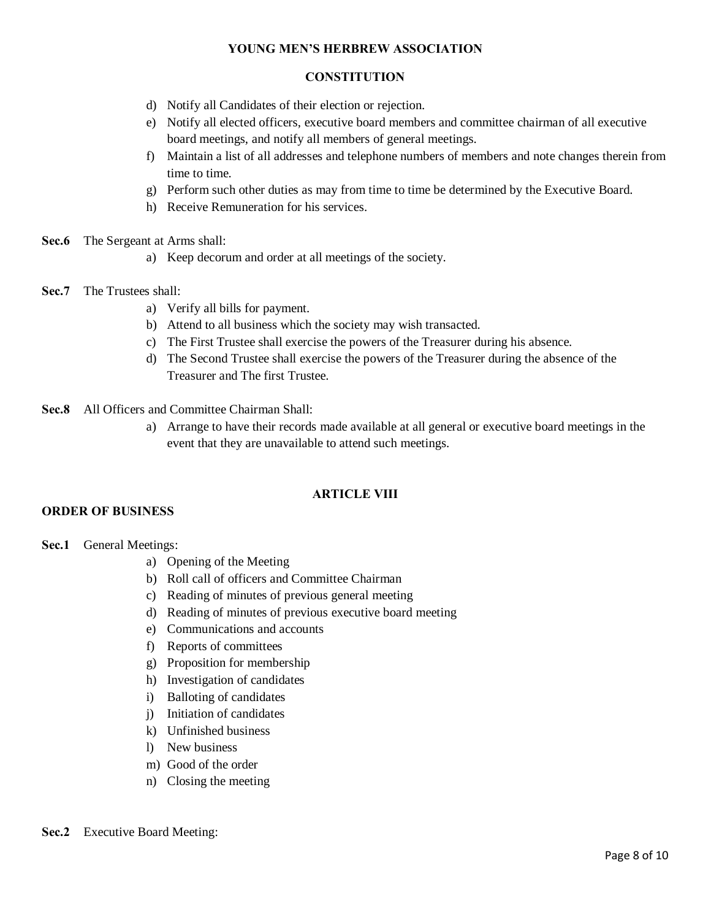## **CONSTITUTION**

- d) Notify all Candidates of their election or rejection.
- e) Notify all elected officers, executive board members and committee chairman of all executive board meetings, and notify all members of general meetings.
- f) Maintain a list of all addresses and telephone numbers of members and note changes therein from time to time.
- g) Perform such other duties as may from time to time be determined by the Executive Board.
- h) Receive Remuneration for his services.
- **Sec.6** The Sergeant at Arms shall:
	- a) Keep decorum and order at all meetings of the society.
- **Sec.7** The Trustees shall:
	- a) Verify all bills for payment.
	- b) Attend to all business which the society may wish transacted.
	- c) The First Trustee shall exercise the powers of the Treasurer during his absence.
	- d) The Second Trustee shall exercise the powers of the Treasurer during the absence of the Treasurer and The first Trustee.
- **Sec.8** All Officers and Committee Chairman Shall:
	- a) Arrange to have their records made available at all general or executive board meetings in the event that they are unavailable to attend such meetings.

# **ARTICLE VIII**

## **ORDER OF BUSINESS**

**Sec.1** General Meetings:

- a) Opening of the Meeting
- b) Roll call of officers and Committee Chairman
- c) Reading of minutes of previous general meeting
- d) Reading of minutes of previous executive board meeting
- e) Communications and accounts
- f) Reports of committees
- g) Proposition for membership
- h) Investigation of candidates
- i) Balloting of candidates
- j) Initiation of candidates
- k) Unfinished business
- l) New business
- m) Good of the order
- n) Closing the meeting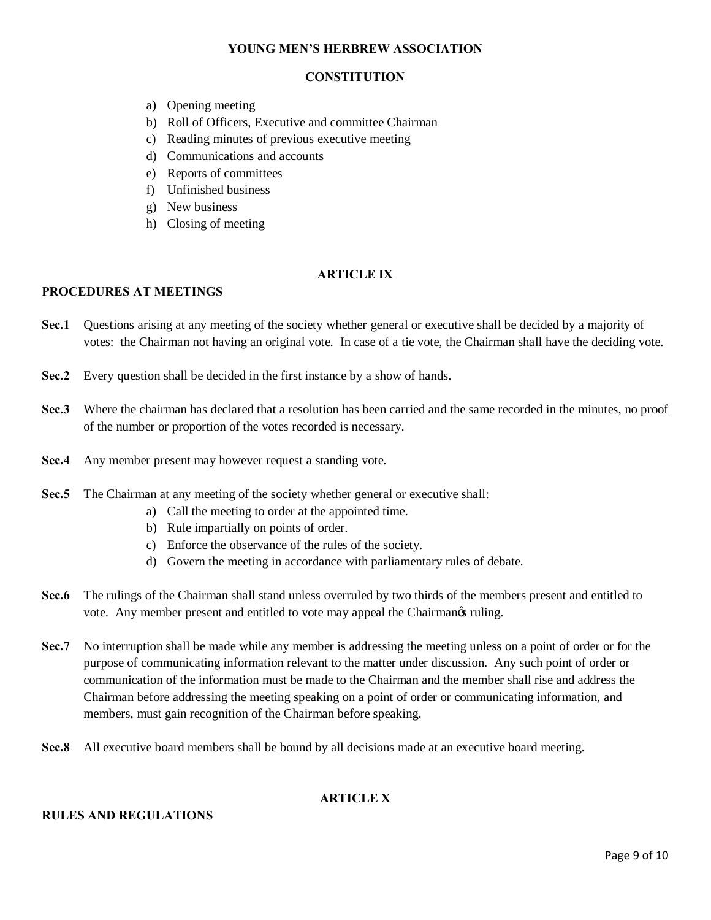# **CONSTITUTION**

- a) Opening meeting
- b) Roll of Officers, Executive and committee Chairman
- c) Reading minutes of previous executive meeting
- d) Communications and accounts
- e) Reports of committees
- f) Unfinished business
- g) New business
- h) Closing of meeting

## **ARTICLE IX**

#### **PROCEDURES AT MEETINGS**

- **Sec.1** Questions arising at any meeting of the society whether general or executive shall be decided by a majority of votes: the Chairman not having an original vote. In case of a tie vote, the Chairman shall have the deciding vote.
- **Sec.2** Every question shall be decided in the first instance by a show of hands.
- **Sec.3** Where the chairman has declared that a resolution has been carried and the same recorded in the minutes, no proof of the number or proportion of the votes recorded is necessary.
- **Sec.4** Any member present may however request a standing vote.
- **Sec.5** The Chairman at any meeting of the society whether general or executive shall:
	- a) Call the meeting to order at the appointed time.
	- b) Rule impartially on points of order.
	- c) Enforce the observance of the rules of the society.
	- d) Govern the meeting in accordance with parliamentary rules of debate.
- **Sec.6** The rulings of the Chairman shall stand unless overruled by two thirds of the members present and entitled to vote. Any member present and entitled to vote may appeal the Chairmangs ruling.
- **Sec.7** No interruption shall be made while any member is addressing the meeting unless on a point of order or for the purpose of communicating information relevant to the matter under discussion. Any such point of order or communication of the information must be made to the Chairman and the member shall rise and address the Chairman before addressing the meeting speaking on a point of order or communicating information, and members, must gain recognition of the Chairman before speaking.
- **Sec.8** All executive board members shall be bound by all decisions made at an executive board meeting.

# **ARTICLE X**

#### **RULES AND REGULATIONS**